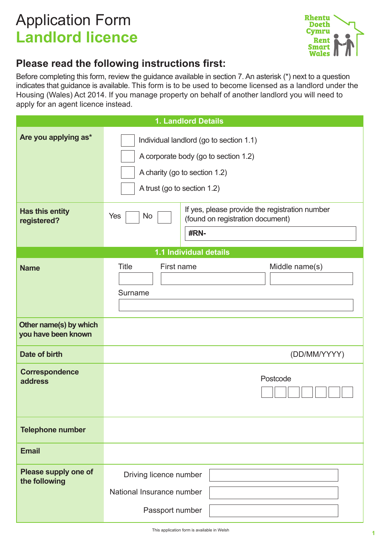# Application Form **Landlord licence**



## **Please read the following instructions first:**

Before completing this form, review the guidance available in section 7. An asterisk (\*) next to a question indicates that guidance is available. This form is to be used to become licensed as a landlord under the Housing (Wales) Act 2014. If you manage property on behalf of another landlord you will need to apply for an agent licence instead.

|                                               | 1. Landlord Details                                                                                                                             |  |
|-----------------------------------------------|-------------------------------------------------------------------------------------------------------------------------------------------------|--|
| Are you applying as*                          | Individual landlord (go to section 1.1)<br>A corporate body (go to section 1.2)<br>A charity (go to section 1.2)<br>A trust (go to section 1.2) |  |
| Has this entity<br>registered?                | If yes, please provide the registration number<br>Yes<br><b>No</b><br>(found on registration document)<br>#RN-                                  |  |
| 1.1 Individual details                        |                                                                                                                                                 |  |
| <b>Name</b>                                   | <b>Title</b><br>First name<br>Middle name(s)<br>Surname                                                                                         |  |
| Other name(s) by which<br>you have been known |                                                                                                                                                 |  |
| <b>Date of birth</b>                          | (DD/MM/YYYY)                                                                                                                                    |  |
| <b>Correspondence</b><br>address              | Postcode                                                                                                                                        |  |
| <b>Telephone number</b>                       |                                                                                                                                                 |  |
| <b>Email</b>                                  |                                                                                                                                                 |  |
| Please supply one of<br>the following         | Driving licence number<br>National Insurance number<br>Passport number                                                                          |  |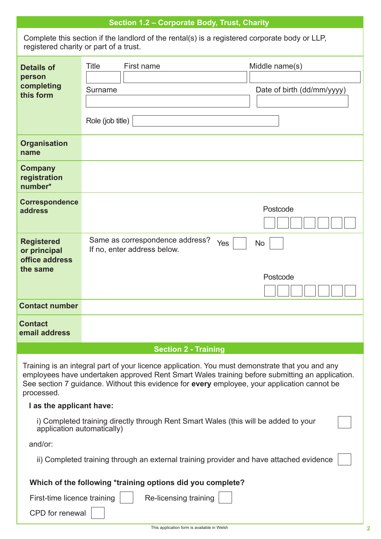| Section 1.2 - Corporate Body, Trust, Charity                                                                                                                                                                                                                                                                    |                                                                                                                                         |  |
|-----------------------------------------------------------------------------------------------------------------------------------------------------------------------------------------------------------------------------------------------------------------------------------------------------------------|-----------------------------------------------------------------------------------------------------------------------------------------|--|
|                                                                                                                                                                                                                                                                                                                 | Complete this section if the landlord of the rental(s) is a registered corporate body or LLP,<br>registered charity or part of a trust. |  |
| <b>Details of</b><br>person<br>completing<br>this form                                                                                                                                                                                                                                                          | Title<br>First name<br>Middle name(s)<br>Surname<br>Date of birth (dd/mm/yyyy)<br>Role (job title)                                      |  |
| <b>Organisation</b><br>name                                                                                                                                                                                                                                                                                     |                                                                                                                                         |  |
| <b>Company</b><br>registration<br>number*                                                                                                                                                                                                                                                                       |                                                                                                                                         |  |
| <b>Correspondence</b><br>address                                                                                                                                                                                                                                                                                | Postcode                                                                                                                                |  |
| <b>Registered</b><br>or principal<br>office address<br>the same                                                                                                                                                                                                                                                 | Same as correspondence address?<br>Yes<br><b>No</b><br>If no, enter address below.<br>Postcode                                          |  |
| <b>Contact number</b>                                                                                                                                                                                                                                                                                           |                                                                                                                                         |  |
| <b>Contact</b><br>email address                                                                                                                                                                                                                                                                                 |                                                                                                                                         |  |
|                                                                                                                                                                                                                                                                                                                 | <b>Section 2 - Training</b>                                                                                                             |  |
| Training is an integral part of your licence application. You must demonstrate that you and any<br>employees have undertaken approved Rent Smart Wales training before submitting an application.<br>See section 7 guidance. Without this evidence for every employee, your application cannot be<br>processed. |                                                                                                                                         |  |
| I as the applicant have:                                                                                                                                                                                                                                                                                        |                                                                                                                                         |  |
| i) Completed training directly through Rent Smart Wales (this will be added to your<br>application automatically)                                                                                                                                                                                               |                                                                                                                                         |  |
| and/or:                                                                                                                                                                                                                                                                                                         |                                                                                                                                         |  |
| ii) Completed training through an external training provider and have attached evidence                                                                                                                                                                                                                         |                                                                                                                                         |  |
|                                                                                                                                                                                                                                                                                                                 | Which of the following *training options did you complete?                                                                              |  |
| First-time licence training                                                                                                                                                                                                                                                                                     | Re-licensing training                                                                                                                   |  |
| CPD for renewal                                                                                                                                                                                                                                                                                                 |                                                                                                                                         |  |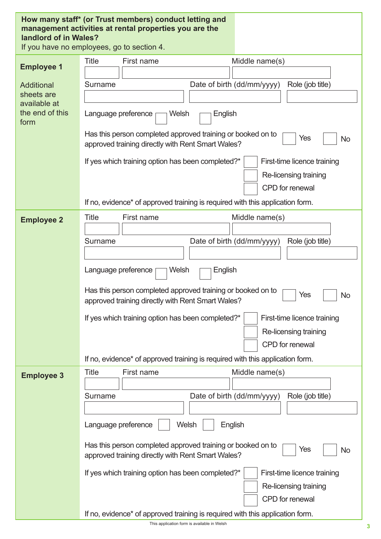| How many staff* (or Trust members) conduct letting and<br>management activities at rental properties you are the<br>landlord of in Wales?<br>If you have no employees, go to section 4. |                                                                                                                                      |
|-----------------------------------------------------------------------------------------------------------------------------------------------------------------------------------------|--------------------------------------------------------------------------------------------------------------------------------------|
|                                                                                                                                                                                         | Title<br>First name<br>Middle name(s)                                                                                                |
| <b>Employee 1</b>                                                                                                                                                                       |                                                                                                                                      |
| <b>Additional</b>                                                                                                                                                                       | Date of birth (dd/mm/yyyy)<br>Role (job title)<br><b>Surname</b>                                                                     |
| sheets are                                                                                                                                                                              |                                                                                                                                      |
| available at                                                                                                                                                                            |                                                                                                                                      |
| the end of this<br>form                                                                                                                                                                 | Language preference<br>Welsh<br>English                                                                                              |
|                                                                                                                                                                                         |                                                                                                                                      |
|                                                                                                                                                                                         | Has this person completed approved training or booked on to<br>Yes<br>No<br>approved training directly with Rent Smart Wales?        |
|                                                                                                                                                                                         | If yes which training option has been completed?*                                                                                    |
|                                                                                                                                                                                         | First-time licence training<br>Re-licensing training                                                                                 |
|                                                                                                                                                                                         | <b>CPD</b> for renewal                                                                                                               |
|                                                                                                                                                                                         | If no, evidence* of approved training is required with this application form.                                                        |
|                                                                                                                                                                                         |                                                                                                                                      |
| <b>Employee 2</b>                                                                                                                                                                       | <b>Title</b><br>First name<br>Middle name(s)                                                                                         |
|                                                                                                                                                                                         |                                                                                                                                      |
|                                                                                                                                                                                         | Date of birth (dd/mm/yyyy)<br>Surname<br>Role (job title)                                                                            |
|                                                                                                                                                                                         |                                                                                                                                      |
|                                                                                                                                                                                         | Welsh<br>English<br>Language preference                                                                                              |
|                                                                                                                                                                                         |                                                                                                                                      |
|                                                                                                                                                                                         | Has this person completed approved training or booked on to<br>Yes<br><b>No</b><br>approved training directly with Rent Smart Wales? |
|                                                                                                                                                                                         | If yes which training option has been completed?*<br>First-time licence training                                                     |
|                                                                                                                                                                                         | Re-licensing training                                                                                                                |
|                                                                                                                                                                                         | CPD for renewal                                                                                                                      |
|                                                                                                                                                                                         | If no, evidence <sup>*</sup> of approved training is required with this application form.                                            |
|                                                                                                                                                                                         |                                                                                                                                      |
| <b>Employee 3</b>                                                                                                                                                                       | <b>Title</b><br>First name<br>Middle name(s)                                                                                         |
|                                                                                                                                                                                         |                                                                                                                                      |
|                                                                                                                                                                                         | Date of birth (dd/mm/yyyy)<br>Role (job title)<br>Surname                                                                            |
|                                                                                                                                                                                         |                                                                                                                                      |
|                                                                                                                                                                                         | Welsh<br>Language preference<br>English                                                                                              |
|                                                                                                                                                                                         | Has this person completed approved training or booked on to<br>Yes<br>No<br>approved training directly with Rent Smart Wales?        |
|                                                                                                                                                                                         | If yes which training option has been completed?*<br>First-time licence training                                                     |
|                                                                                                                                                                                         | Re-licensing training                                                                                                                |
|                                                                                                                                                                                         | CPD for renewal                                                                                                                      |
|                                                                                                                                                                                         | If no, evidence* of approved training is required with this application form.                                                        |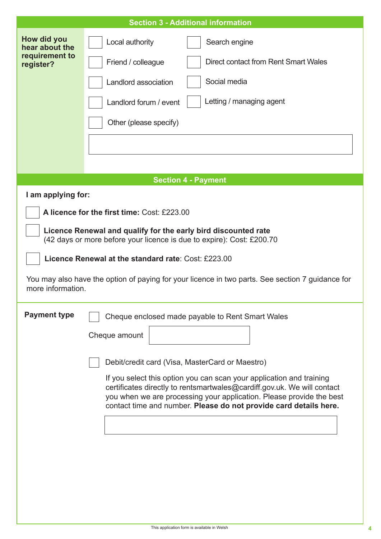| How did you<br>Local authority<br>Search engine<br>hear about the<br>requirement to<br>Direct contact from Rent Smart Wales<br>Friend / colleague<br>register?<br>Social media<br>Landlord association<br>Letting / managing agent<br>Landlord forum / event<br>Other (please specify)<br><b>Section 4 - Payment</b><br>I am applying for:<br>A licence for the first time: Cost: £223.00 |  |  |
|-------------------------------------------------------------------------------------------------------------------------------------------------------------------------------------------------------------------------------------------------------------------------------------------------------------------------------------------------------------------------------------------|--|--|
|                                                                                                                                                                                                                                                                                                                                                                                           |  |  |
|                                                                                                                                                                                                                                                                                                                                                                                           |  |  |
|                                                                                                                                                                                                                                                                                                                                                                                           |  |  |
|                                                                                                                                                                                                                                                                                                                                                                                           |  |  |
|                                                                                                                                                                                                                                                                                                                                                                                           |  |  |
|                                                                                                                                                                                                                                                                                                                                                                                           |  |  |
|                                                                                                                                                                                                                                                                                                                                                                                           |  |  |
|                                                                                                                                                                                                                                                                                                                                                                                           |  |  |
|                                                                                                                                                                                                                                                                                                                                                                                           |  |  |
|                                                                                                                                                                                                                                                                                                                                                                                           |  |  |
| Licence Renewal and qualify for the early bird discounted rate<br>(42 days or more before your licence is due to expire): Cost: £200.70                                                                                                                                                                                                                                                   |  |  |
| Licence Renewal at the standard rate: Cost: £223.00                                                                                                                                                                                                                                                                                                                                       |  |  |
| You may also have the option of paying for your licence in two parts. See section 7 guidance for<br>more information.                                                                                                                                                                                                                                                                     |  |  |
| <b>Payment type</b><br>Cheque enclosed made payable to Rent Smart Wales                                                                                                                                                                                                                                                                                                                   |  |  |
| Cheque amount                                                                                                                                                                                                                                                                                                                                                                             |  |  |
|                                                                                                                                                                                                                                                                                                                                                                                           |  |  |
| Debit/credit card (Visa, MasterCard or Maestro)                                                                                                                                                                                                                                                                                                                                           |  |  |
| If you select this option you can scan your application and training<br>certificates directly to rentsmartwales@cardiff.gov.uk. We will contact                                                                                                                                                                                                                                           |  |  |
| you when we are processing your application. Please provide the best<br>contact time and number. Please do not provide card details here.                                                                                                                                                                                                                                                 |  |  |
|                                                                                                                                                                                                                                                                                                                                                                                           |  |  |
|                                                                                                                                                                                                                                                                                                                                                                                           |  |  |
|                                                                                                                                                                                                                                                                                                                                                                                           |  |  |
|                                                                                                                                                                                                                                                                                                                                                                                           |  |  |
|                                                                                                                                                                                                                                                                                                                                                                                           |  |  |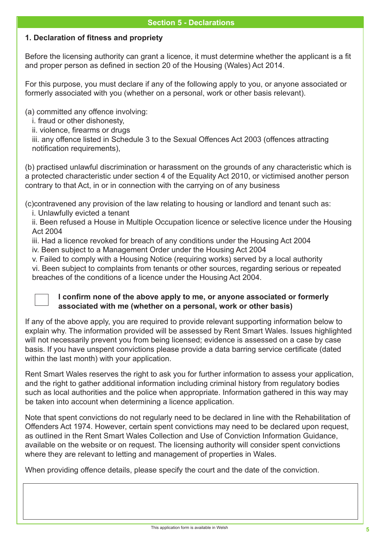### **1. Declaration of fitness and propriety**

Before the licensing authority can grant a licence, it must determine whether the applicant is a fit and proper person as defined in section 20 of the Housing (Wales) Act 2014.

For this purpose, you must declare if any of the following apply to you, or anyone associated or formerly associated with you (whether on a personal, work or other basis relevant).

(a) committed any offence involving:

i. fraud or other dishonesty,

ii. violence, firearms or drugs

iii. any offence listed in Schedule 3 to the Sexual Offences Act 2003 (offences attracting notification requirements),

(b) practised unlawful discrimination or harassment on the grounds of any characteristic which is a protected characteristic under section 4 of the Equality Act 2010, or victimised another person contrary to that Act, in or in connection with the carrying on of any business

(c)contravened any provision of the law relating to housing or landlord and tenant such as: i. Unlawfully evicted a tenant

ii. Been refused a House in Multiple Occupation licence or selective licence under the Housing Act 2004

iii. Had a licence revoked for breach of any conditions under the Housing Act 2004

iv. Been subject to a Management Order under the Housing Act 2004

v. Failed to comply with a Housing Notice (requiring works) served by a local authority

vi. Been subject to complaints from tenants or other sources, regarding serious or repeated breaches of the conditions of a licence under the Housing Act 2004.



#### **I confirm none of the above apply to me, or anyone associated or formerly associated with me (whether on a personal, work or other basis)**

If any of the above apply, you are required to provide relevant supporting information below to explain why. The information provided will be assessed by Rent Smart Wales. Issues highlighted will not necessarily prevent you from being licensed; evidence is assessed on a case by case basis. If you have unspent convictions please provide a data barring service certificate (dated within the last month) with your application.

Rent Smart Wales reserves the right to ask you for further information to assess your application, and the right to gather additional information including criminal history from regulatory bodies such as local authorities and the police when appropriate. Information gathered in this way may be taken into account when determining a licence application.

Note that spent convictions do not regularly need to be declared in line with the Rehabilitation of Offenders Act 1974. However, certain spent convictions may need to be declared upon request, as outlined in the Rent Smart Wales Collection and Use of Conviction Information Guidance, available on the website or on request. The licensing authority will consider spent convictions where they are relevant to letting and management of properties in Wales.

When providing offence details, please specify the court and the date of the conviction.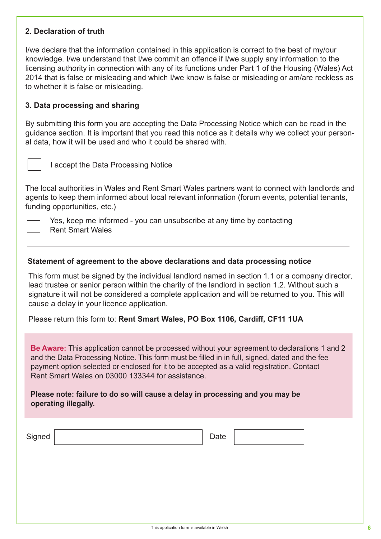#### **2. Declaration of truth**

I/we declare that the information contained in this application is correct to the best of my/our knowledge. I/we understand that I/we commit an offence if I/we supply any information to the licensing authority in connection with any of its functions under Part 1 of the Housing (Wales) Act 2014 that is false or misleading and which I/we know is false or misleading or am/are reckless as to whether it is false or misleading.

#### **3. Data processing and sharing**

By submitting this form you are accepting the Data Processing Notice which can be read in the guidance section. It is important that you read this notice as it details why we collect your personal data, how it will be used and who it could be shared with.



I accept the Data Processing Notice

The local authorities in Wales and Rent Smart Wales partners want to connect with landlords and agents to keep them informed about local relevant information (forum events, potential tenants, funding opportunities, etc.)



Yes, keep me informed - you can unsubscribe at any time by contacting Rent Smart Wales

#### **Statement of agreement to the above declarations and data processing notice**

This form must be signed by the individual landlord named in section 1.1 or a company director, lead trustee or senior person within the charity of the landlord in section 1.2. Without such a signature it will not be considered a complete application and will be returned to you. This will cause a delay in your licence application.

Please return this form to: **Rent Smart Wales, PO Box 1106, Cardiff, CF11 1UA**

**Be Aware:** This application cannot be processed without your agreement to declarations 1 and 2 and the Data Processing Notice. This form must be filled in in full, signed, dated and the fee payment option selected or enclosed for it to be accepted as a valid registration. Contact Rent Smart Wales on 03000 133344 for assistance.

Please note: failure to do so will cause a delay in processing and you may be **operating illegally.** 

| Signed | Date |  |
|--------|------|--|
|        |      |  |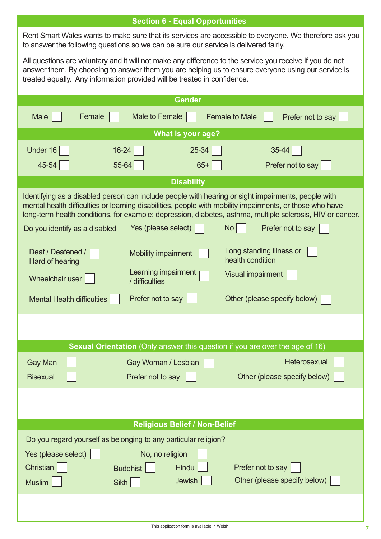|                                                                                                                                                                                                                                                                                            | <b>Section 6 - Equal Opportunities</b> |                                                                                                                                              |
|--------------------------------------------------------------------------------------------------------------------------------------------------------------------------------------------------------------------------------------------------------------------------------------------|----------------------------------------|----------------------------------------------------------------------------------------------------------------------------------------------|
| to answer the following questions so we can be sure our service is delivered fairly.                                                                                                                                                                                                       |                                        | Rent Smart Wales wants to make sure that its services are accessible to everyone. We therefore ask you                                       |
| All questions are voluntary and it will not make any difference to the service you receive if you do not<br>answer them. By choosing to answer them you are helping us to ensure everyone using our service is<br>treated equally. Any information provided will be treated in confidence. |                                        |                                                                                                                                              |
|                                                                                                                                                                                                                                                                                            | <b>Gender</b>                          |                                                                                                                                              |
| Female<br>Male                                                                                                                                                                                                                                                                             | <b>Male to Female</b>                  | <b>Female to Male</b><br>Prefer not to say                                                                                                   |
|                                                                                                                                                                                                                                                                                            | What is your age?                      |                                                                                                                                              |
| Under 16<br>$16 - 24$                                                                                                                                                                                                                                                                      | 25-34                                  | 35-44                                                                                                                                        |
| 55-64<br>45-54                                                                                                                                                                                                                                                                             | $65+$                                  | Prefer not to say                                                                                                                            |
|                                                                                                                                                                                                                                                                                            | <b>Disability</b>                      |                                                                                                                                              |
| Identifying as a disabled person can include people with hearing or sight impairments, people with<br>mental health difficulties or learning disabilities, people with mobility impairments, or those who have<br>Do you identify as a disabled                                            | Yes (please select)                    | long-term health conditions, for example: depression, diabetes, asthma, multiple sclerosis, HIV or cancer.<br><b>No</b><br>Prefer not to say |
|                                                                                                                                                                                                                                                                                            |                                        |                                                                                                                                              |
| Deaf / Deafened /<br>Hard of hearing                                                                                                                                                                                                                                                       | <b>Mobility impairment</b>             | Long standing illness or<br>health condition                                                                                                 |
| Wheelchair user<br>/ difficulties                                                                                                                                                                                                                                                          | Learning impairment                    | <b>Visual impairment</b>                                                                                                                     |
| <b>Mental Health difficulties</b>                                                                                                                                                                                                                                                          | Prefer not to say                      | Other (please specify below)                                                                                                                 |
|                                                                                                                                                                                                                                                                                            |                                        |                                                                                                                                              |
|                                                                                                                                                                                                                                                                                            |                                        |                                                                                                                                              |
|                                                                                                                                                                                                                                                                                            |                                        | <b>Sexual Orientation</b> (Only answer this question if you are over the age of 16)                                                          |
| <b>Gay Man</b>                                                                                                                                                                                                                                                                             | Gay Woman / Lesbian                    | Heterosexual                                                                                                                                 |
| <b>Bisexual</b>                                                                                                                                                                                                                                                                            | Prefer not to say                      | Other (please specify below)                                                                                                                 |
|                                                                                                                                                                                                                                                                                            |                                        |                                                                                                                                              |
|                                                                                                                                                                                                                                                                                            |                                        |                                                                                                                                              |
|                                                                                                                                                                                                                                                                                            | <b>Religious Belief / Non-Belief</b>   |                                                                                                                                              |
| Do you regard yourself as belonging to any particular religion?                                                                                                                                                                                                                            |                                        |                                                                                                                                              |
| Yes (please select)                                                                                                                                                                                                                                                                        |                                        |                                                                                                                                              |
| Christian<br><b>Buddhist</b>                                                                                                                                                                                                                                                               | No, no religion<br>Hindu               | Prefer not to say                                                                                                                            |
| <b>Muslim</b><br>Sikh                                                                                                                                                                                                                                                                      | Jewish                                 | Other (please specify below)                                                                                                                 |
|                                                                                                                                                                                                                                                                                            |                                        |                                                                                                                                              |
|                                                                                                                                                                                                                                                                                            |                                        |                                                                                                                                              |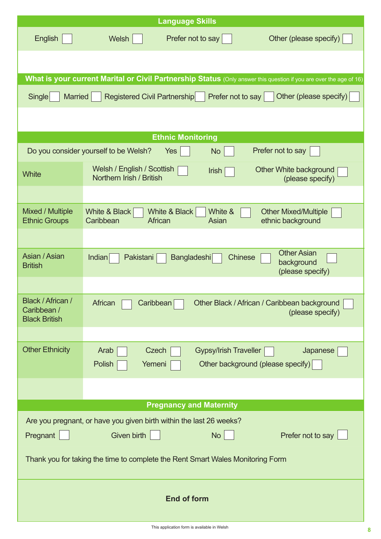|                                                                                | <b>Language Skills</b>                                                                                                         |  |  |
|--------------------------------------------------------------------------------|--------------------------------------------------------------------------------------------------------------------------------|--|--|
| <b>English</b>                                                                 | Other (please specify)<br>Welsh<br>Prefer not to say                                                                           |  |  |
|                                                                                |                                                                                                                                |  |  |
|                                                                                | What is your current Marital or Civil Partnership Status (Only answer this question if you are over the age of 16)             |  |  |
| <b>Single</b>                                                                  | <b>Married</b><br><b>Registered Civil Partnership</b><br>Prefer not to say<br>Other (please specify)                           |  |  |
|                                                                                | <b>Ethnic Monitoring</b>                                                                                                       |  |  |
|                                                                                | Prefer not to say<br>Do you consider yourself to be Welsh?<br>Yes<br><b>No</b>                                                 |  |  |
| <b>White</b>                                                                   | Welsh / English / Scottish<br>Other White background<br><b>Irish</b><br>Northern Irish / British<br>(please specify)           |  |  |
|                                                                                |                                                                                                                                |  |  |
| <b>Mixed / Multiple</b><br><b>Ethnic Groups</b>                                | White &<br>White & Black<br>White & Black<br><b>Other Mixed/Multiple</b><br>Caribbean<br>ethnic background<br>African<br>Asian |  |  |
|                                                                                |                                                                                                                                |  |  |
| Asian / Asian<br><b>British</b>                                                | <b>Other Asian</b><br>Indian<br><b>Bangladeshi</b><br><b>Chinese</b><br>Pakistani<br>background<br>(please specify)            |  |  |
|                                                                                |                                                                                                                                |  |  |
| Black / African /<br>Caribbean /<br><b>Black British</b>                       | African<br>Caribbean<br>Other Black / African / Caribbean background<br>(please specify)                                       |  |  |
|                                                                                |                                                                                                                                |  |  |
| <b>Other Ethnicity</b>                                                         | Arab<br><b>Gypsy/Irish Traveller</b><br>Japanese<br>Czech<br>Polish<br>Other background (please specify)<br>Yemeni             |  |  |
|                                                                                |                                                                                                                                |  |  |
|                                                                                | <b>Pregnancy and Maternity</b>                                                                                                 |  |  |
|                                                                                | Are you pregnant, or have you given birth within the last 26 weeks?                                                            |  |  |
| No<br>Pregnant<br><b>Given birth</b><br>Prefer not to say                      |                                                                                                                                |  |  |
| Thank you for taking the time to complete the Rent Smart Wales Monitoring Form |                                                                                                                                |  |  |
| <b>End of form</b>                                                             |                                                                                                                                |  |  |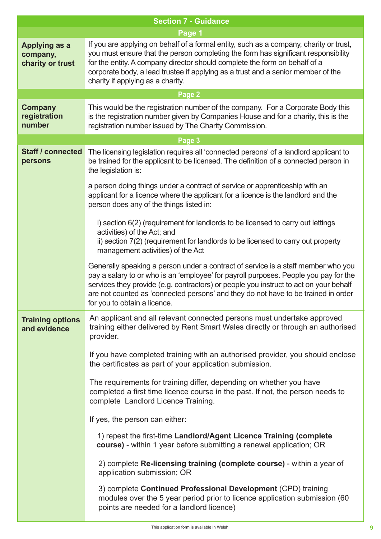| <b>Section 7 - Guidance</b>                          |                                                                                                                                                                                                                                                                                                                                                                                          |
|------------------------------------------------------|------------------------------------------------------------------------------------------------------------------------------------------------------------------------------------------------------------------------------------------------------------------------------------------------------------------------------------------------------------------------------------------|
|                                                      | Page 1                                                                                                                                                                                                                                                                                                                                                                                   |
| <b>Applying as a</b><br>company,<br>charity or trust | If you are applying on behalf of a formal entity, such as a company, charity or trust,<br>you must ensure that the person completing the form has significant responsibility<br>for the entity. A company director should complete the form on behalf of a<br>corporate body, a lead trustee if applying as a trust and a senior member of the<br>charity if applying as a charity.      |
|                                                      | Page 2                                                                                                                                                                                                                                                                                                                                                                                   |
| <b>Company</b><br>registration<br>number             | This would be the registration number of the company. For a Corporate Body this<br>is the registration number given by Companies House and for a charity, this is the<br>registration number issued by The Charity Commission.                                                                                                                                                           |
|                                                      | Page 3                                                                                                                                                                                                                                                                                                                                                                                   |
| <b>Staff / connected</b><br>persons                  | The licensing legislation requires all 'connected persons' of a landlord applicant to<br>be trained for the applicant to be licensed. The definition of a connected person in<br>the legislation is:                                                                                                                                                                                     |
|                                                      | a person doing things under a contract of service or apprenticeship with an<br>applicant for a licence where the applicant for a licence is the landlord and the<br>person does any of the things listed in:                                                                                                                                                                             |
|                                                      | i) section 6(2) (requirement for landlords to be licensed to carry out lettings<br>activities) of the Act; and<br>ii) section 7(2) (requirement for landlords to be licensed to carry out property<br>management activities) of the Act                                                                                                                                                  |
|                                                      | Generally speaking a person under a contract of service is a staff member who you<br>pay a salary to or who is an 'employee' for payroll purposes. People you pay for the<br>services they provide (e.g. contractors) or people you instruct to act on your behalf<br>are not counted as 'connected persons' and they do not have to be trained in order<br>for you to obtain a licence. |
| <b>Training options</b><br>and evidence              | An applicant and all relevant connected persons must undertake approved<br>training either delivered by Rent Smart Wales directly or through an authorised<br>provider.                                                                                                                                                                                                                  |
|                                                      | If you have completed training with an authorised provider, you should enclose<br>the certificates as part of your application submission.                                                                                                                                                                                                                                               |
|                                                      | The requirements for training differ, depending on whether you have<br>completed a first time licence course in the past. If not, the person needs to<br>complete Landlord Licence Training.                                                                                                                                                                                             |
|                                                      | If yes, the person can either:                                                                                                                                                                                                                                                                                                                                                           |
|                                                      | 1) repeat the first-time Landlord/Agent Licence Training (complete<br>course) - within 1 year before submitting a renewal application; OR                                                                                                                                                                                                                                                |
|                                                      | 2) complete Re-licensing training (complete course) - within a year of<br>application submission; OR                                                                                                                                                                                                                                                                                     |
|                                                      | 3) complete Continued Professional Development (CPD) training<br>modules over the 5 year period prior to licence application submission (60<br>points are needed for a landlord licence)                                                                                                                                                                                                 |